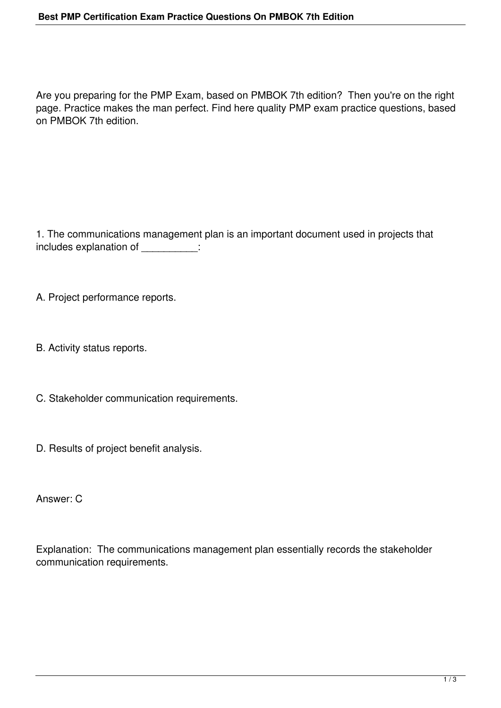Are you preparing for the PMP Exam, based on PMBOK 7th edition? Then you're on the right page. Practice makes the man perfect. Find here quality PMP exam practice questions, based on PMBOK 7th edition.

1. The communications management plan is an important document used in projects that includes explanation of \_\_\_\_\_\_\_\_\_\_:

A. Project performance reports.

B. Activity status reports.

C. Stakeholder communication requirements.

D. Results of project benefit analysis.

Answer: C

Explanation: The communications management plan essentially records the stakeholder communication requirements.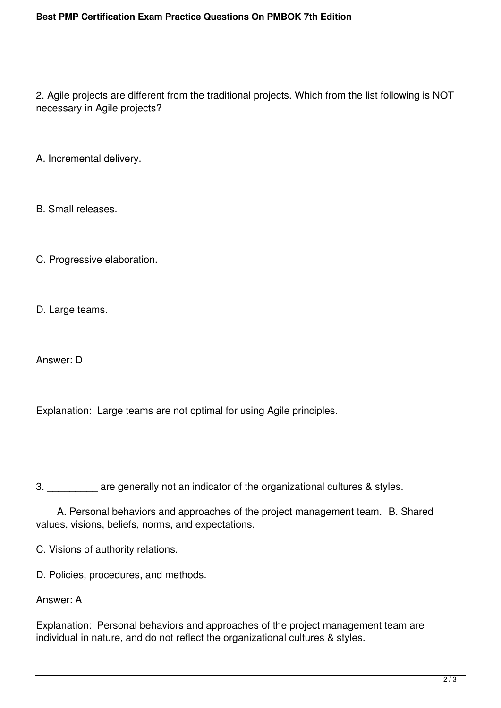2. Agile projects are different from the traditional projects. Which from the list following is NOT necessary in Agile projects?

A. Incremental delivery.

B. Small releases.

C. Progressive elaboration.

D. Large teams.

Answer: D

Explanation: Large teams are not optimal for using Agile principles.

3. \_\_\_\_\_\_\_\_\_ are generally not an indicator of the organizational cultures & styles.

 A. Personal behaviors and approaches of the project management team. B. Shared values, visions, beliefs, norms, and expectations.

C. Visions of authority relations.

D. Policies, procedures, and methods.

## Answer: A

Explanation: Personal behaviors and approaches of the project management team are individual in nature, and do not reflect the organizational cultures & styles.